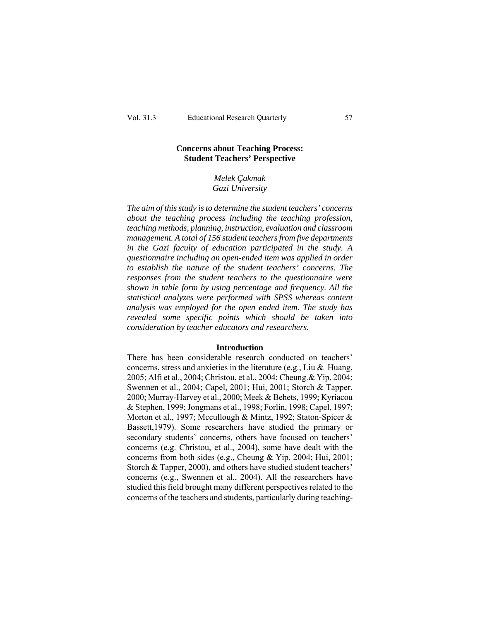# **Concerns about Teaching Process: Student Teachers' Perspective**

### *Melek Çakmak Gazi University*

*The aim of this study is to determine the student teachers' concerns about the teaching process including the teaching profession, teaching methods, planning, instruction, evaluation and classroom management. A total of 156 student teachers from five departments in the Gazi faculty of education participated in the study. A questionnaire including an open-ended item was applied in order to establish the nature of the student teachers' concerns. The responses from the student teachers to the questionnaire were shown in table form by using percentage and frequency. All the statistical analyzes were performed with SPSS whereas content analysis was employed for the open ended item. The study has revealed some specific points which should be taken into consideration by teacher educators and researchers.* 

#### **Introduction**

There has been considerable research conducted on teachers' concerns, stress and anxieties in the literature (e.g., Liu  $\&$  Huang, 2005; Alfi et al., 2004; Christou, et al., 2004; Cheung.& Yip, 2004; Swennen et al., 2004; Capel, 2001; Hui, 2001; Storch & Tapper, 2000; Murray-Harvey et al., 2000; Meek & Behets, 1999; Kyriacou & Stephen, 1999; Jongmans et al., 1998; Forlin, 1998; Capel, 1997; Morton et al., 1997; Mccullough & Mintz, 1992; Staton-Spicer & Bassett,1979). Some researchers have studied the primary or secondary students' concerns, others have focused on teachers' concerns (e.g. Christou, et al., 2004), some have dealt with the concerns from both sides (e.g., Cheung & Yip, 2004; Hui**,** 2001; Storch & Tapper, 2000), and others have studied student teachers' concerns (e.g., Swennen et al., 2004). All the researchers have studied this field brought many different perspectives related to the concerns of the teachers and students, particularly during teaching-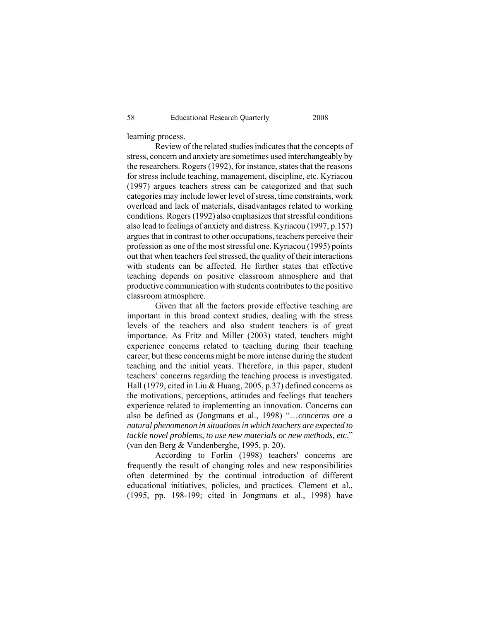learning process.

Review of the related studies indicates that the concepts of stress, concern and anxiety are sometimes used interchangeably by the researchers. Rogers (1992), for instance, states that the reasons for stress include teaching, management, discipline, etc. Kyriacou (1997) argues teachers stress can be categorized and that such categories may include lower level of stress, time constraints, work overload and lack of materials, disadvantages related to working conditions. Rogers (1992) also emphasizes that stressful conditions also lead to feelings of anxiety and distress. Kyriacou (1997, p.157) argues that in contrast to other occupations, teachers perceive their profession as one of the most stressful one. Kyriacou (1995) points out that when teachers feel stressed, the quality of their interactions with students can be affected. He further states that effective teaching depends on positive classroom atmosphere and that productive communication with students contributes to the positive classroom atmosphere.

Given that all the factors provide effective teaching are important in this broad context studies, dealing with the stress levels of the teachers and also student teachers is of great importance. As Fritz and Miller (2003) stated, teachers might experience concerns related to teaching during their teaching career, but these concerns might be more intense during the student teaching and the initial years. Therefore, in this paper, student teachers' concerns regarding the teaching process is investigated. Hall (1979, cited in Liu & Huang, 2005, p.37) defined concerns as the motivations, perceptions, attitudes and feelings that teachers experience related to implementing an innovation. Concerns can also be defined as (Jongmans et al., 1998) "…*concerns are a natural phenomenon in situations in which teachers are expected to tackle novel problems, to use new materials or new methods, etc*." (van den Berg & Vandenberghe, 1995, p. 20).

According to Forlin (1998) teachers' concerns are frequently the result of changing roles and new responsibilities often determined by the continual introduction of different educational initiatives, policies, and practices. Clement et al., (1995, pp. 198-199; cited in Jongmans et al., 1998) have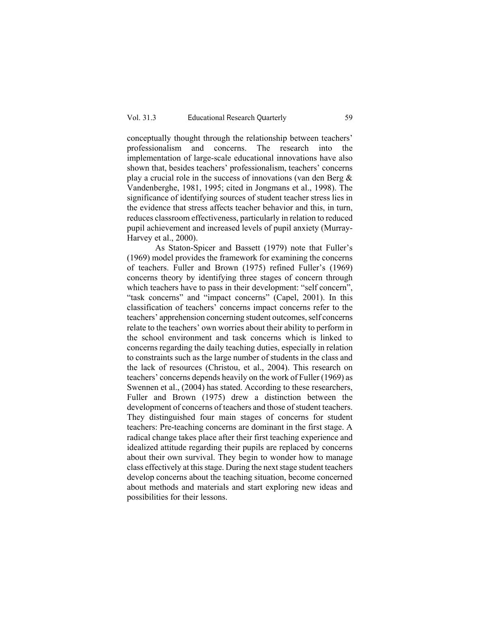conceptually thought through the relationship between teachers' professionalism and concerns. The research into the implementation of large-scale educational innovations have also shown that, besides teachers' professionalism, teachers' concerns play a crucial role in the success of innovations (van den Berg & Vandenberghe, 1981, 1995; cited in Jongmans et al., 1998). The significance of identifying sources of student teacher stress lies in the evidence that stress affects teacher behavior and this, in turn, reduces classroom effectiveness, particularly in relation to reduced pupil achievement and increased levels of pupil anxiety (Murray-Harvey et al., 2000).

As Staton-Spicer and Bassett (1979) note that Fuller's (1969) model provides the framework for examining the concerns of teachers. Fuller and Brown (1975) refined Fuller's (1969) concerns theory by identifying three stages of concern through which teachers have to pass in their development: "self concern", "task concerns" and "impact concerns" (Capel, 2001). In this classification of teachers' concerns impact concerns refer to the teachers' apprehension concerning student outcomes, self concerns relate to the teachers' own worries about their ability to perform in the school environment and task concerns which is linked to concerns regarding the daily teaching duties, especially in relation to constraints such as the large number of students in the class and the lack of resources (Christou, et al., 2004). This research on teachers' concerns depends heavily on the work of Fuller (1969) as Swennen et al., (2004) has stated. According to these researchers, Fuller and Brown (1975) drew a distinction between the development of concerns of teachers and those of student teachers. They distinguished four main stages of concerns for student teachers: Pre-teaching concerns are dominant in the first stage. A radical change takes place after their first teaching experience and idealized attitude regarding their pupils are replaced by concerns about their own survival. They begin to wonder how to manage class effectively at this stage. During the next stage student teachers develop concerns about the teaching situation, become concerned about methods and materials and start exploring new ideas and possibilities for their lessons.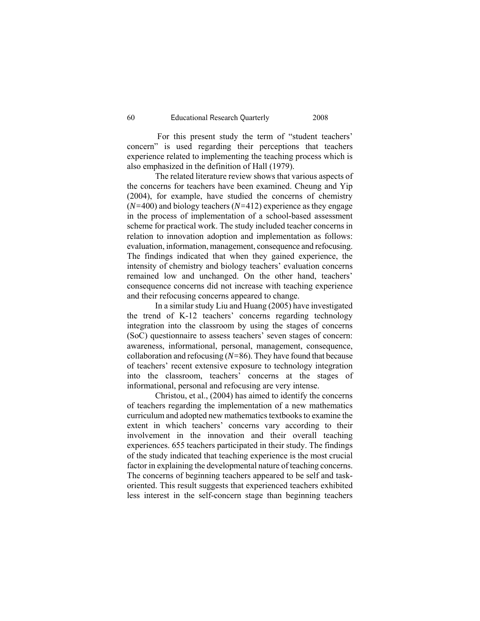For this present study the term of "student teachers' concern" is used regarding their perceptions that teachers experience related to implementing the teaching process which is also emphasized in the definition of Hall (1979).

The related literature review shows that various aspects of the concerns for teachers have been examined. Cheung and Yip (2004), for example, have studied the concerns of chemistry (*N=*400) and biology teachers (*N=*412) experience as they engage in the process of implementation of a school-based assessment scheme for practical work. The study included teacher concerns in relation to innovation adoption and implementation as follows: evaluation, information, management, consequence and refocusing. The findings indicated that when they gained experience, the intensity of chemistry and biology teachers' evaluation concerns remained low and unchanged. On the other hand, teachers' consequence concerns did not increase with teaching experience and their refocusing concerns appeared to change.

In a similar study Liu and Huang (2005) have investigated the trend of K-12 teachers' concerns regarding technology integration into the classroom by using the stages of concerns (SoC) questionnaire to assess teachers' seven stages of concern: awareness, informational, personal, management, consequence, collaboration and refocusing (*N=*86). They have found that because of teachers' recent extensive exposure to technology integration into the classroom, teachers' concerns at the stages of informational, personal and refocusing are very intense.

Christou, et al., (2004) has aimed to identify the concerns of teachers regarding the implementation of a new mathematics curriculum and adopted new mathematics textbooks to examine the extent in which teachers' concerns vary according to their involvement in the innovation and their overall teaching experiences. 655 teachers participated in their study. The findings of the study indicated that teaching experience is the most crucial factor in explaining the developmental nature of teaching concerns. The concerns of beginning teachers appeared to be self and taskoriented. This result suggests that experienced teachers exhibited less interest in the self-concern stage than beginning teachers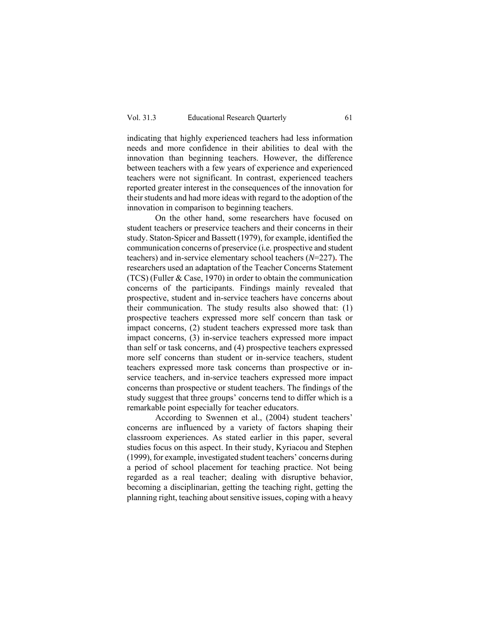indicating that highly experienced teachers had less information needs and more confidence in their abilities to deal with the innovation than beginning teachers. However, the difference between teachers with a few years of experience and experienced teachers were not significant. In contrast, experienced teachers reported greater interest in the consequences of the innovation for their students and had more ideas with regard to the adoption of the innovation in comparison to beginning teachers.

On the other hand, some researchers have focused on student teachers or preservice teachers and their concerns in their study. Staton-Spicer and Bassett (1979), for example, identified the communication concerns of preservice (i.e. prospective and student teachers) and in-service elementary school teachers (*N*=227)**.** The researchers used an adaptation of the Teacher Concerns Statement (TCS) (Fuller & Case, 1970) in order to obtain the communication concerns of the participants. Findings mainly revealed that prospective, student and in-service teachers have concerns about their communication. The study results also showed that: (1) prospective teachers expressed more self concern than task or impact concerns, (2) student teachers expressed more task than impact concerns, (3) in-service teachers expressed more impact than self or task concerns, and (4) prospective teachers expressed more self concerns than student or in-service teachers, student teachers expressed more task concerns than prospective or inservice teachers, and in-service teachers expressed more impact concerns than prospective or student teachers. The findings of the study suggest that three groups' concerns tend to differ which is a remarkable point especially for teacher educators.

According to Swennen et al., (2004) student teachers' concerns are influenced by a variety of factors shaping their classroom experiences. As stated earlier in this paper, several studies focus on this aspect. In their study, Kyriacou and Stephen (1999), for example, investigated student teachers' concerns during a period of school placement for teaching practice. Not being regarded as a real teacher; dealing with disruptive behavior, becoming a disciplinarian, getting the teaching right, getting the planning right, teaching about sensitive issues, coping with a heavy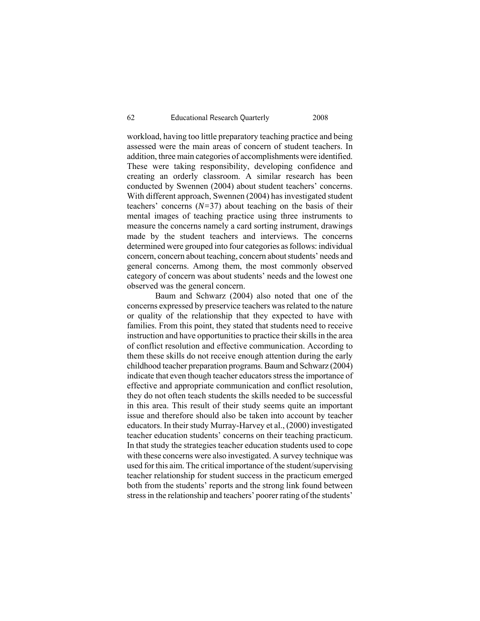62 Educational Research Quarterly 2008

workload, having too little preparatory teaching practice and being assessed were the main areas of concern of student teachers. In addition, three main categories of accomplishments were identified. These were taking responsibility, developing confidence and creating an orderly classroom. A similar research has been conducted by Swennen (2004) about student teachers' concerns. With different approach, Swennen (2004) has investigated student teachers' concerns (*N=*37) about teaching on the basis of their mental images of teaching practice using three instruments to measure the concerns namely a card sorting instrument, drawings made by the student teachers and interviews. The concerns determined were grouped into four categories as follows: individual concern, concern about teaching, concern about students' needs and general concerns. Among them, the most commonly observed category of concern was about students' needs and the lowest one observed was the general concern.

Baum and Schwarz (2004) also noted that one of the concerns expressed by preservice teachers was related to the nature or quality of the relationship that they expected to have with families. From this point, they stated that students need to receive instruction and have opportunities to practice their skills in the area of conflict resolution and effective communication. According to them these skills do not receive enough attention during the early childhood teacher preparation programs. Baum and Schwarz (2004) indicate that even though teacher educators stress the importance of effective and appropriate communication and conflict resolution, they do not often teach students the skills needed to be successful in this area. This result of their study seems quite an important issue and therefore should also be taken into account by teacher educators. In their study Murray-Harvey et al., (2000) investigated teacher education students' concerns on their teaching practicum. In that study the strategies teacher education students used to cope with these concerns were also investigated. A survey technique was used for this aim. The critical importance of the student/supervising teacher relationship for student success in the practicum emerged both from the students' reports and the strong link found between stress in the relationship and teachers' poorer rating of the students'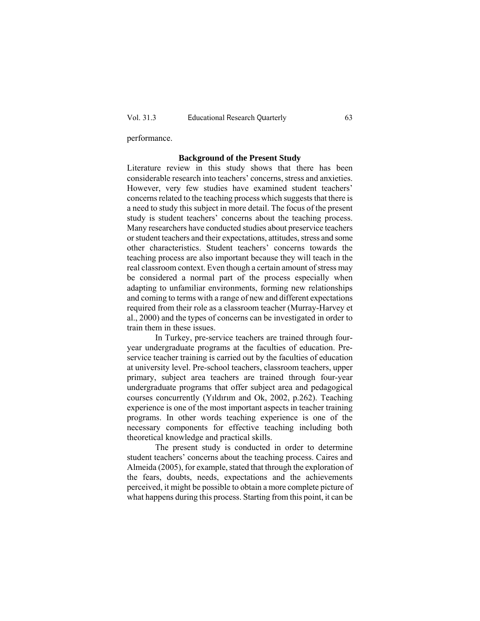performance.

#### **Background of the Present Study**

Literature review in this study shows that there has been considerable research into teachers' concerns, stress and anxieties. However, very few studies have examined student teachers' concerns related to the teaching process which suggests that there is a need to study this subject in more detail. The focus of the present study is student teachers' concerns about the teaching process. Many researchers have conducted studies about preservice teachers or student teachers and their expectations, attitudes, stress and some other characteristics. Student teachers' concerns towards the teaching process are also important because they will teach in the real classroom context. Even though a certain amount of stress may be considered a normal part of the process especially when adapting to unfamiliar environments, forming new relationships and coming to terms with a range of new and different expectations required from their role as a classroom teacher (Murray-Harvey et al., 2000) and the types of concerns can be investigated in order to train them in these issues.

In Turkey, pre-service teachers are trained through fouryear undergraduate programs at the faculties of education. Preservice teacher training is carried out by the faculties of education at university level. Pre-school teachers, classroom teachers, upper primary, subject area teachers are trained through four-year undergraduate programs that offer subject area and pedagogical courses concurrently (Yıldırım and Ok, 2002, p.262). Teaching experience is one of the most important aspects in teacher training programs. In other words teaching experience is one of the necessary components for effective teaching including both theoretical knowledge and practical skills.

The present study is conducted in order to determine student teachers' concerns about the teaching process. Caires and Almeida (2005), for example, stated that through the exploration of the fears, doubts, needs, expectations and the achievements perceived, it might be possible to obtain a more complete picture of what happens during this process. Starting from this point, it can be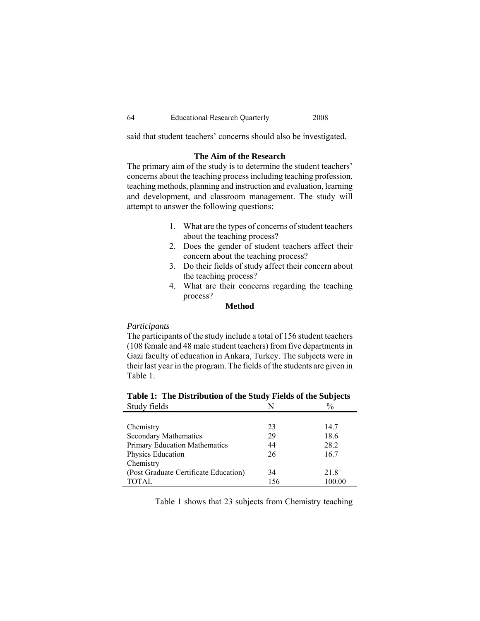said that student teachers' concerns should also be investigated.

# **The Aim of the Research**

The primary aim of the study is to determine the student teachers' concerns about the teaching process including teaching profession, teaching methods, planning and instruction and evaluation, learning and development, and classroom management. The study will attempt to answer the following questions:

- 1. What are the types of concerns of student teachers about the teaching process?
- 2. Does the gender of student teachers affect their concern about the teaching process?
- 3. Do their fields of study affect their concern about the teaching process?
- 4. What are their concerns regarding the teaching process?

# **Method**

# *Participants*

The participants of the study include a total of 156 student teachers (108 female and 48 male student teachers) from five departments in Gazi faculty of education in Ankara, Turkey. The subjects were in their last year in the program. The fields of the students are given in Table 1.

| Study fields                          | N   | $\frac{0}{0}$ |
|---------------------------------------|-----|---------------|
|                                       |     |               |
| Chemistry                             | 23  | 14.7          |
| <b>Secondary Mathematics</b>          | 29  | 18.6          |
| Primary Education Mathematics         | 44  | 28.2          |
| Physics Education                     | 26  | 16.7          |
| Chemistry                             |     |               |
| (Post Graduate Certificate Education) | 34  | 21.8          |
| <b>TOTAL</b>                          | 156 | 100.00        |

**Table 1: The Distribution of the Study Fields of the Subjects** 

Table 1 shows that 23 subjects from Chemistry teaching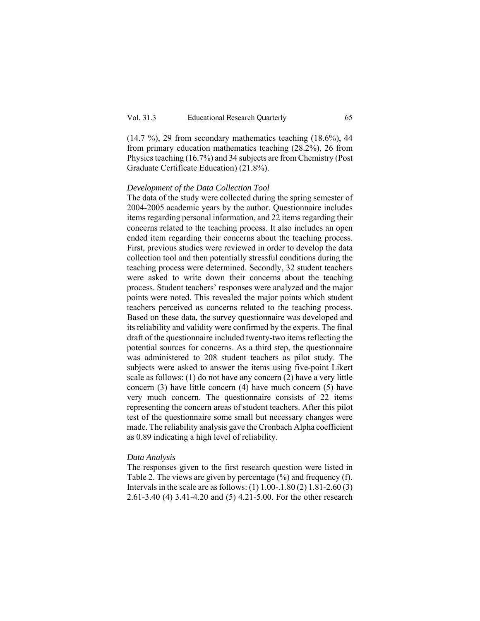$(14.7 \%)$ , 29 from secondary mathematics teaching  $(18.6\%)$ , 44 from primary education mathematics teaching (28.2%), 26 from Physics teaching (16.7%) and 34 subjects are from Chemistry (Post Graduate Certificate Education) (21.8%).

#### *Development of the Data Collection Tool*

The data of the study were collected during the spring semester of 2004-2005 academic years by the author. Questionnaire includes items regarding personal information, and 22 items regarding their concerns related to the teaching process. It also includes an open ended item regarding their concerns about the teaching process. First, previous studies were reviewed in order to develop the data collection tool and then potentially stressful conditions during the teaching process were determined. Secondly, 32 student teachers were asked to write down their concerns about the teaching process. Student teachers' responses were analyzed and the major points were noted. This revealed the major points which student teachers perceived as concerns related to the teaching process. Based on these data, the survey questionnaire was developed and its reliability and validity were confirmed by the experts. The final draft of the questionnaire included twenty-two items reflecting the potential sources for concerns. As a third step, the questionnaire was administered to 208 student teachers as pilot study. The subjects were asked to answer the items using five-point Likert scale as follows: (1) do not have any concern (2) have a very little concern (3) have little concern (4) have much concern (5) have very much concern. The questionnaire consists of 22 items representing the concern areas of student teachers. After this pilot test of the questionnaire some small but necessary changes were made. The reliability analysis gave the Cronbach Alpha coefficient as 0.89 indicating a high level of reliability.

#### *Data Analysis*

The responses given to the first research question were listed in Table 2. The views are given by percentage (%) and frequency (f). Intervals in the scale are as follows: (1) 1.00-.1.80 (2) 1.81-2.60 (3) 2.61-3.40 (4) 3.41-4.20 and (5) 4.21-5.00. For the other research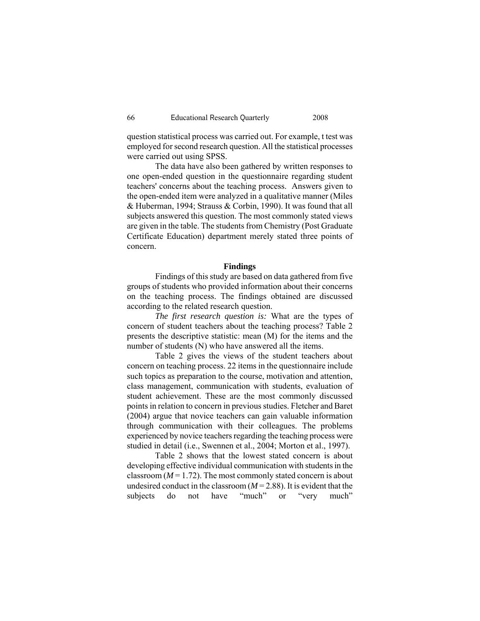question statistical process was carried out. For example, t test was employed for second research question. All the statistical processes were carried out using SPSS.

The data have also been gathered by written responses to one open-ended question in the questionnaire regarding student teachers' concerns about the teaching process. Answers given to the open-ended item were analyzed in a qualitative manner (Miles & Huberman, 1994; Strauss & Corbin, 1990). It was found that all subjects answered this question. The most commonly stated views are given in the table. The students from Chemistry (Post Graduate Certificate Education) department merely stated three points of concern.

#### **Findings**

Findings of this study are based on data gathered from five groups of students who provided information about their concerns on the teaching process. The findings obtained are discussed according to the related research question.

*The first research question is:* What are the types of concern of student teachers about the teaching process? Table 2 presents the descriptive statistic: mean (M) for the items and the number of students (N) who have answered all the items.

Table 2 gives the views of the student teachers about concern on teaching process. 22 items in the questionnaire include such topics as preparation to the course, motivation and attention, class management, communication with students, evaluation of student achievement. These are the most commonly discussed points in relation to concern in previous studies. Fletcher and Baret (2004) argue that novice teachers can gain valuable information through communication with their colleagues. The problems experienced by novice teachers regarding the teaching process were studied in detail (i.e., Swennen et al., 2004; Morton et al., 1997).

Table 2 shows that the lowest stated concern is about developing effective individual communication with students in the classroom  $(M = 1.72)$ . The most commonly stated concern is about undesired conduct in the classroom  $(M = 2.88)$ . It is evident that the subjects do not have "much" or "very much"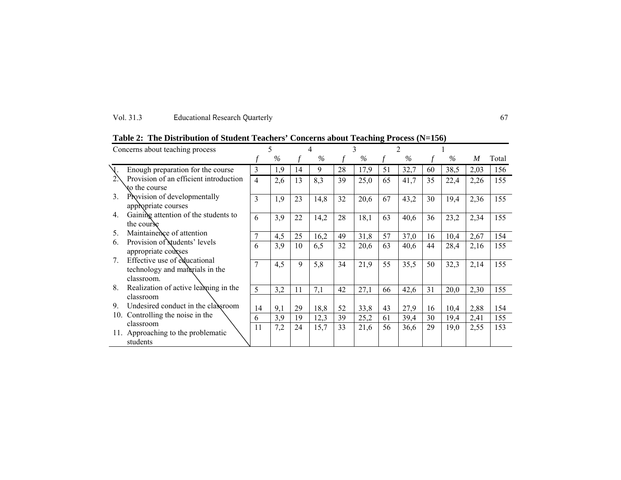| Vol. 31.3 | Educational Research Quarterly |  |
|-----------|--------------------------------|--|
|-----------|--------------------------------|--|

| Concerns about teaching process                                  |                | 5    |    | 4    |    | 3    |    |      |    |      |      |       |
|------------------------------------------------------------------|----------------|------|----|------|----|------|----|------|----|------|------|-------|
|                                                                  |                | $\%$ |    | $\%$ |    | $\%$ | f  | $\%$ |    | $\%$ | M    | Total |
| Enough preparation for the course                                | $\overline{3}$ | 1,9  | 14 | 9    | 28 | 17,9 | 51 | 32,7 | 60 | 38,5 | 2,03 | 156   |
| Provision of an efficient introduction<br>$\overline{2}$         | $\overline{4}$ | 2,6  | 13 | 8,3  | 39 | 25,0 | 65 | 41,7 | 35 | 22,4 | 2,26 | 155   |
| to the course                                                    |                |      |    |      |    |      |    |      |    |      |      |       |
| Provision of developmentally<br>3.                               | 3              | 1,9  | 23 | 14,8 | 32 | 20,6 | 67 | 43,2 | 30 | 19,4 | 2,36 | 155   |
| appropriate courses                                              |                |      |    |      |    |      |    |      |    |      |      |       |
| Gaining attention of the students to<br>4.                       | 6              | 3,9  | 22 | 14,2 | 28 | 18,1 | 63 | 40,6 | 36 | 23,2 | 2,34 | 155   |
| the course                                                       |                |      |    |      |    |      |    |      |    |      |      |       |
| Maintainence of attention<br>5.                                  | 7              | 4,5  | 25 | 16,2 | 49 | 31,8 | 57 | 37,0 | 16 | 10,4 | 2,67 | 154   |
| Provision of students' levels<br>6.                              | 6              | 3,9  | 10 | 6,5  | 32 | 20,6 | 63 | 40,6 | 44 | 28,4 | 2,16 | 155   |
| appropriate courses                                              |                |      |    |      |    |      |    |      |    |      |      |       |
| Effective use of educational<br>$7_{\scriptscriptstyle{\ddots}}$ | $\overline{7}$ | 4,5  | 9  | 5,8  | 34 | 21,9 | 55 | 35,5 | 50 | 32,3 | 2,14 | 155   |
| technology and materials in the                                  |                |      |    |      |    |      |    |      |    |      |      |       |
| classroom.                                                       |                |      |    |      |    |      |    |      |    |      |      |       |
| Realization of active learning in the<br>8.                      | 5              | 3,2  | 11 | 7,1  | 42 | 27,1 | 66 | 42,6 | 31 | 20,0 | 2,30 | 155   |
| classroom                                                        |                |      |    |      |    |      |    |      |    |      |      |       |
| Undesired conduct in the classroom<br>9.                         | 14             | 9,1  | 29 | 18,8 | 52 | 33,8 | 43 | 27,9 | 16 | 10,4 | 2,88 | 154   |
| Controlling the noise in the<br>10.                              | 6              | 3,9  | 19 | 12,3 | 39 | 25,2 | 61 | 39,4 | 30 | 19,4 | 2,41 | 155   |
| classroom                                                        | 11             | 7,2  | 24 | 15,7 | 33 | 21,6 | 56 | 36,6 | 29 | 19,0 | 2,55 | 153   |
| 11. Approaching to the problematic                               |                |      |    |      |    |      |    |      |    |      |      |       |
| students                                                         |                |      |    |      |    |      |    |      |    |      |      |       |

**Table 2: The Distribution of Student Teachers' Concerns about Teaching Process (N=156)**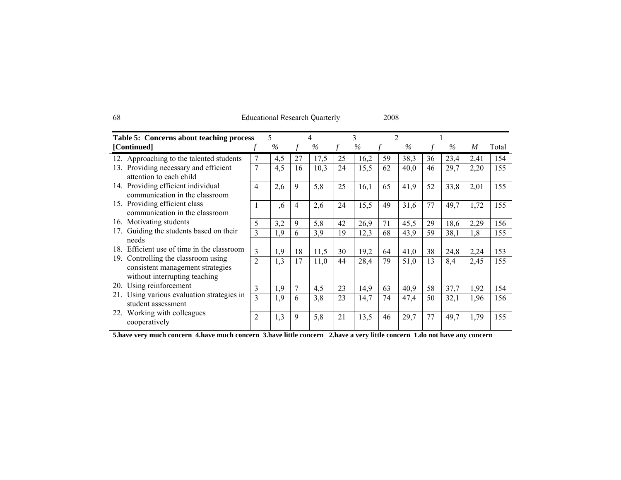Quarterly 2008

| 5.<br>Table 5: Concerns about teaching process<br>3                     |                |      |                |      |    |      |    |      |    |      |      |       |
|-------------------------------------------------------------------------|----------------|------|----------------|------|----|------|----|------|----|------|------|-------|
| [Continued]                                                             |                | $\%$ | f              | %    | f  | $\%$ |    | $\%$ |    | $\%$ | M    | Total |
| 12. Approaching to the talented students                                | 7              | 4,5  | 27             | 17,5 | 25 | 16,2 | 59 | 38,3 | 36 | 23,4 | 2,41 | 154   |
| Providing necessary and efficient<br>13.<br>attention to each child     | 7              | 4,5  | 16             | 10,3 | 24 | 15,5 | 62 | 40,0 | 46 | 29,7 | 2,20 | 155   |
| 14. Providing efficient individual<br>communication in the classroom    | $\overline{4}$ | 2,6  | 9              | 5,8  | 25 | 16,1 | 65 | 41,9 | 52 | 33,8 | 2,01 | 155   |
| 15. Providing efficient class<br>communication in the classroom         | 1              | ,6   | $\overline{4}$ | 2,6  | 24 | 15,5 | 49 | 31,6 | 77 | 49,7 | 1,72 | 155   |
| Motivating students<br>16.                                              | 5              | 3,2  | 9              | 5,8  | 42 | 26,9 | 71 | 45,5 | 29 | 18,6 | 2,29 | 156   |
| Guiding the students based on their<br>17.<br>needs                     | 3              | 1,9  | 6              | 3,9  | 19 | 12,3 | 68 | 43,9 | 59 | 38,1 | 1,8  | 155   |
| Efficient use of time in the classroom<br>18.                           | 3              | 1,9  | 18             | 11,5 | 30 | 19,2 | 64 | 41,0 | 38 | 24,8 | 2,24 | 153   |
| 19. Controlling the classroom using<br>consistent management strategies | $\overline{2}$ | 1,3  | 17             | 11,0 | 44 | 28,4 | 79 | 51,0 | 13 | 8,4  | 2,45 | 155   |
| without interrupting teaching<br>Using reinforcement<br>20.             | 3              | 1,9  |                | 4,5  | 23 | 14,9 | 63 | 40,9 | 58 | 37,7 | 1,92 | 154   |
| Using various evaluation strategies in<br>21.<br>student assessment     | $\mathbf{3}$   | 1,9  | 6              | 3,8  | 23 | 14,7 | 74 | 47,4 | 50 | 32,1 | 1,96 | 156   |
| Working with colleagues<br>22.<br>cooperatively                         | $\overline{2}$ | 1,3  | 9              | 5,8  | 21 | 13,5 | 46 | 29,7 | 77 | 49,7 | 1,79 | 155   |

**5.have very much concern 4.have much concern 3.have little concern 2.have a very little concern 1.do not have any concern**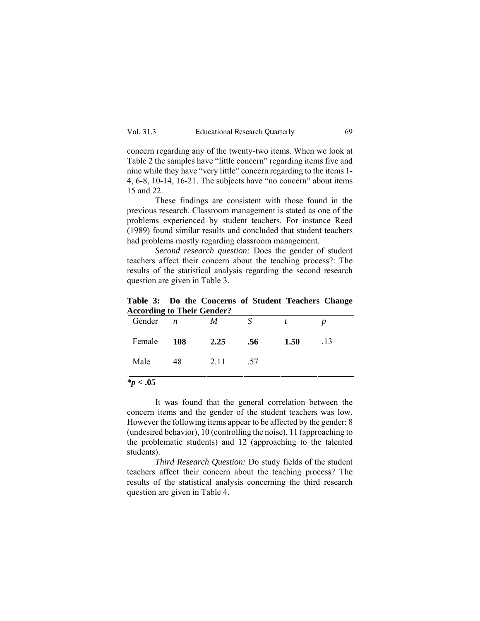concern regarding any of the twenty-two items. When we look at Table 2 the samples have "little concern" regarding items five and nine while they have "very little" concern regarding to the items 1- 4, 6-8, 10-14, 16-21. The subjects have "no concern" about items 15 and 22.

These findings are consistent with those found in the previous research. Classroom management is stated as one of the problems experienced by student teachers. For instance Reed (1989) found similar results and concluded that student teachers had problems mostly regarding classroom management.

*Second research question:* Does the gender of student teachers affect their concern about the teaching process?: The results of the statistical analysis regarding the second research question are given in Table 3.

**Table 3: Do the Concerns of Student Teachers Change According to Their Gender?** 

| $\frac{1}{2}$ |                  |      |     |      |     |  |
|---------------|------------------|------|-----|------|-----|--|
| Gender        | $\boldsymbol{n}$ | M    | N   |      |     |  |
| Female        | 108              | 2.25 | .56 | 1.50 | .13 |  |
| Male          | 48               | 2.11 | .57 |      |     |  |

*\*p* **< .05** 

It was found that the general correlation between the concern items and the gender of the student teachers was low. However the following items appear to be affected by the gender: 8 (undesired behavior), 10 (controlling the noise), 11 (approaching to the problematic students) and 12 (approaching to the talented students).

*Third Research Question:* Do study fields of the student teachers affect their concern about the teaching process? The results of the statistical analysis concerning the third research question are given in Table 4.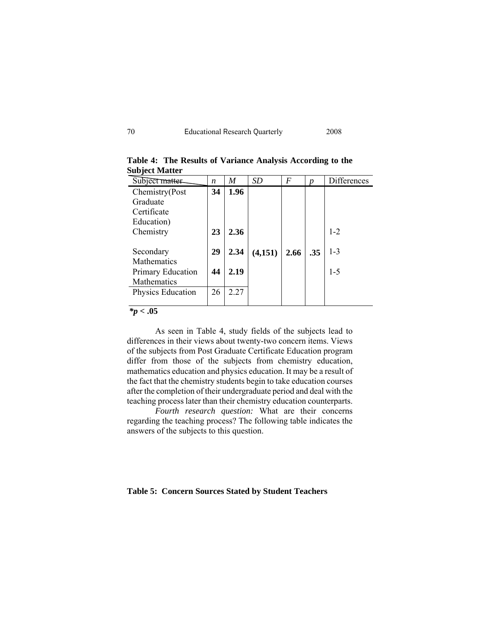| 70 | Educational Research Quarterly | 2008 |
|----|--------------------------------|------|
|----|--------------------------------|------|

| Subject matter    | n  | M    | <b>SD</b> | F    | D   | <b>Differences</b> |
|-------------------|----|------|-----------|------|-----|--------------------|
| Chemistry(Post    | 34 | 1.96 |           |      |     |                    |
| Graduate          |    |      |           |      |     |                    |
| Certificate       |    |      |           |      |     |                    |
| Education)        |    |      |           |      |     |                    |
| Chemistry         | 23 | 2.36 |           |      |     | $1 - 2$            |
|                   |    |      |           |      |     |                    |
| Secondary         | 29 | 2.34 | (4,151)   | 2.66 | .35 | $1 - 3$            |
| Mathematics       |    |      |           |      |     |                    |
| Primary Education | 44 | 2.19 |           |      |     | $1 - 5$            |
| Mathematics       |    |      |           |      |     |                    |
| Physics Education | 26 | 2.27 |           |      |     |                    |
|                   |    |      |           |      |     |                    |

**Table 4: The Results of Variance Analysis According to the Subject Matter** 

# *\*p* **< .05**

As seen in Table 4, study fields of the subjects lead to differences in their views about twenty-two concern items. Views of the subjects from Post Graduate Certificate Education program differ from those of the subjects from chemistry education, mathematics education and physics education. It may be a result of the fact that the chemistry students begin to take education courses after the completion of their undergraduate period and deal with the teaching process later than their chemistry education counterparts.

*Fourth research question:* What are their concerns regarding the teaching process? The following table indicates the answers of the subjects to this question.

# **Table 5: Concern Sources Stated by Student Teachers**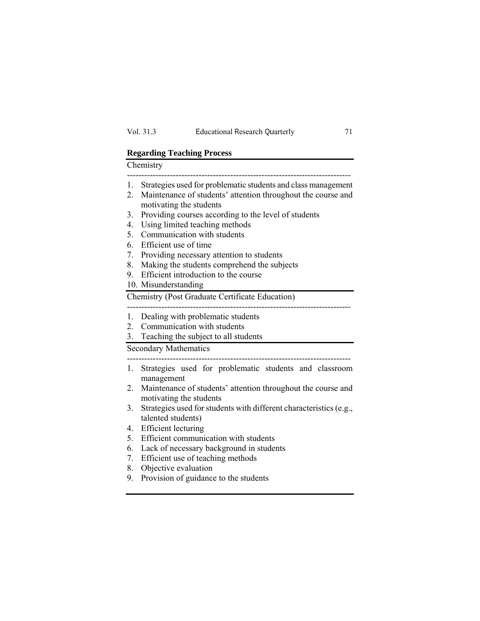| Vol. 31.3 | Educational Research Quarterly |  |
|-----------|--------------------------------|--|
|-----------|--------------------------------|--|

# **Regarding Teaching Process**

|         | Chemistry                                                                                |
|---------|------------------------------------------------------------------------------------------|
| $1_{-}$ | Strategies used for problematic students and class management                            |
| 2.      | Maintenance of students' attention throughout the course and<br>motivating the students  |
| 3.      | Providing courses according to the level of students                                     |
| 4.      | Using limited teaching methods                                                           |
| 5.      | Communication with students                                                              |
| 6.      | Efficient use of time                                                                    |
| 7.      | Providing necessary attention to students                                                |
| 8.      | Making the students comprehend the subjects                                              |
| 9.      | Efficient introduction to the course                                                     |
|         | 10. Misunderstanding                                                                     |
|         | <b>Chemistry (Post Graduate Certificate Education)</b>                                   |
| 1.      | Dealing with problematic students                                                        |
| 2.      | Communication with students                                                              |
| 3.      | Teaching the subject to all students                                                     |
|         | <b>Secondary Mathematics</b>                                                             |
| 1.      | Strategies used for problematic students and classroom<br>management                     |
| 2.      | Maintenance of students' attention throughout the course and<br>motivating the students  |
| 3.      | Strategies used for students with different characteristics (e.g.,<br>talented students) |
| 4.      | <b>Efficient</b> lecturing                                                               |
| 5.      | Efficient communication with students                                                    |
| 6.      | Lack of necessary background in students                                                 |
| 7.      | Efficient use of teaching methods                                                        |
|         |                                                                                          |

- 8. Objective evaluation
- 9. Provision of guidance to the students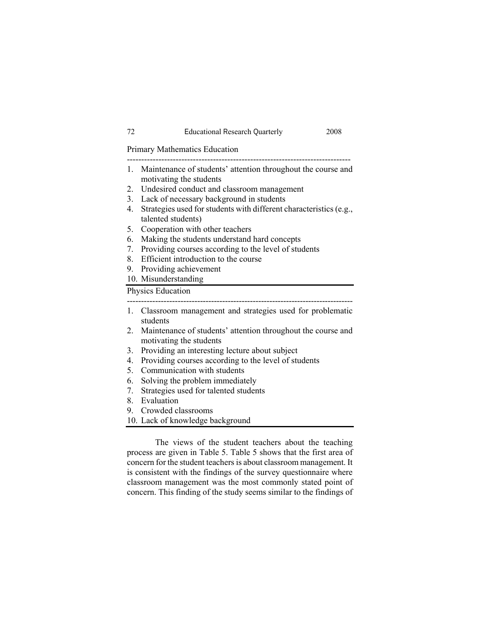| 72 | Educational Research Quarterly | 2008 |
|----|--------------------------------|------|
|----|--------------------------------|------|

Primary Mathematics Education

| 1. Maintenance of students' attention throughout the course and |
|-----------------------------------------------------------------|
| motivating the students                                         |

- 2. Undesired conduct and classroom management
- 3. Lack of necessary background in students
- 4. Strategies used for students with different characteristics (e.g., talented students)
- 5. Cooperation with other teachers
- 6. Making the students understand hard concepts
- 7. Providing courses according to the level of students
- 8. Efficient introduction to the course
- 9. Providing achievement
- 10. Misunderstanding

Physics Education

---------------------------------------------------------------------------------

- 1. Classroom management and strategies used for problematic students
- 2. Maintenance of students' attention throughout the course and motivating the students
- 3. Providing an interesting lecture about subject
- 4. Providing courses according to the level of students
- 5. Communication with students
- 6. Solving the problem immediately
- 7. Strategies used for talented students
- 8. Evaluation
- 9. Crowded classrooms
- 10. Lack of knowledge background

The views of the student teachers about the teaching process are given in Table 5. Table 5 shows that the first area of concern for the student teachers is about classroom management. It is consistent with the findings of the survey questionnaire where classroom management was the most commonly stated point of concern. This finding of the study seems similar to the findings of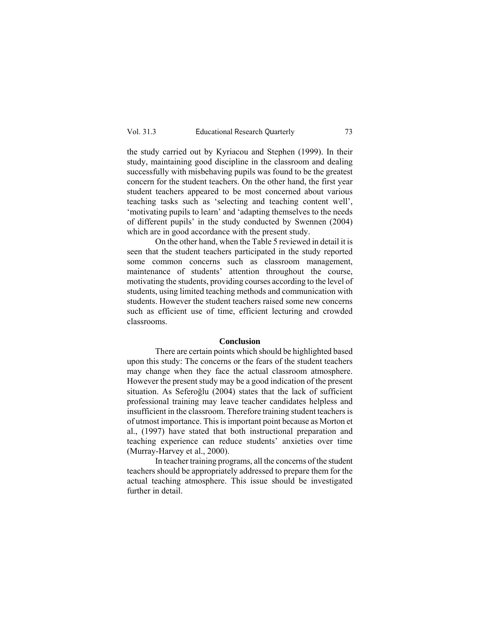the study carried out by Kyriacou and Stephen (1999). In their study, maintaining good discipline in the classroom and dealing successfully with misbehaving pupils was found to be the greatest concern for the student teachers. On the other hand, the first year student teachers appeared to be most concerned about various teaching tasks such as 'selecting and teaching content well', 'motivating pupils to learn' and 'adapting themselves to the needs of different pupils' in the study conducted by Swennen (2004) which are in good accordance with the present study.

On the other hand, when the Table 5 reviewed in detail it is seen that the student teachers participated in the study reported some common concerns such as classroom management, maintenance of students' attention throughout the course, motivating the students, providing courses according to the level of students, using limited teaching methods and communication with students. However the student teachers raised some new concerns such as efficient use of time, efficient lecturing and crowded classrooms.

#### **Conclusion**

There are certain points which should be highlighted based upon this study: The concerns or the fears of the student teachers may change when they face the actual classroom atmosphere. However the present study may be a good indication of the present situation. As Seferoğlu (2004) states that the lack of sufficient professional training may leave teacher candidates helpless and insufficient in the classroom. Therefore training student teachers is of utmost importance. This is important point because as Morton et al., (1997) have stated that both instructional preparation and teaching experience can reduce students' anxieties over time (Murray-Harvey et al., 2000).

In teacher training programs, all the concerns of the student teachers should be appropriately addressed to prepare them for the actual teaching atmosphere. This issue should be investigated further in detail.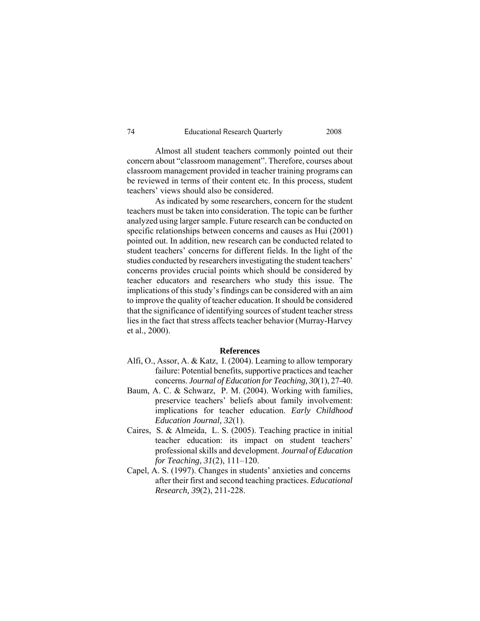#### 74 Educational Research Quarterly 2008

Almost all student teachers commonly pointed out their concern about "classroom management". Therefore, courses about classroom management provided in teacher training programs can be reviewed in terms of their content etc. In this process, student teachers' views should also be considered.

As indicated by some researchers, concern for the student teachers must be taken into consideration. The topic can be further analyzed using larger sample. Future research can be conducted on specific relationships between concerns and causes as Hui (2001) pointed out. In addition, new research can be conducted related to student teachers' concerns for different fields. In the light of the studies conducted by researchers investigating the student teachers' concerns provides crucial points which should be considered by teacher educators and researchers who study this issue. The implications of this study's findings can be considered with an aim to improve the quality of teacher education. It should be considered that the significance of identifying sources of student teacher stress lies in the fact that stress affects teacher behavior (Murray-Harvey et al., 2000).

## **References**

- Alfi, O., Assor, A. & Katz, I. (2004). Learning to allow temporary failure: Potential benefits, supportive practices and teacher concerns. *Journal of Education for Teaching, 30*(1), 27-40.
- Baum, A. C. & Schwarz, P. M. (2004). Working with families, preservice teachers' beliefs about family involvement: implications for teacher education. *Early Childhood Education Journal, 32*(1).
- Caires, S. & Almeida, L. S. (2005). Teaching practice in initial teacher education: its impact on student teachers' professional skills and development. *Journal of Education for Teaching*, *31*(2), 111–120.
- Capel, A. S. (1997). Changes in students' anxieties and concerns after their first and second teaching practices. *Educational Research, 39*(2), 211-228.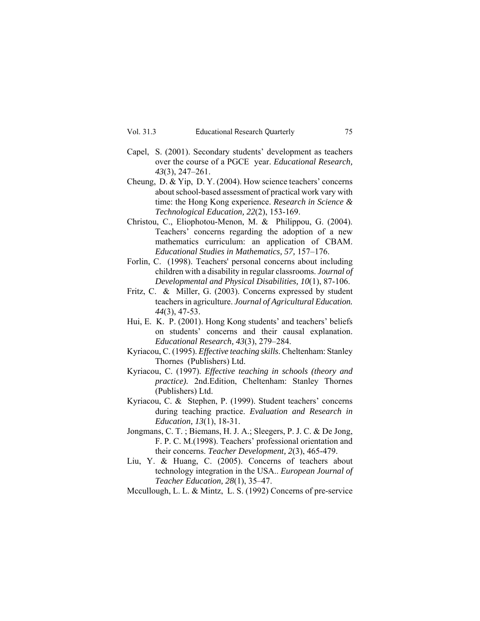- Capel, S. (2001). Secondary students' development as teachers over the course of a PGCE year. *Educational Research, 43*(3), 247–261.
- Cheung, D. & Yip, D. Y. (2004). How science teachers' concerns about school-based assessment of practical work vary with time: the Hong Kong experience. *Research in Science & Technological Education, 22*(2), 153-169.
- Christou, C., Eliophotou-Menon, M. & Philippou, G. (2004). Teachers' concerns regarding the adoption of a new mathematics curriculum: an application of CBAM. *Educational Studies in Mathematics, 57,* 157–176.
- Forlin, C. (1998). Teachers' personal concerns about including children with a disability in regular classrooms. *Journal of Developmental and Physical Disabilities, 10*(1), 87-106.
- Fritz, C. & Miller, G. (2003). Concerns expressed by student teachers in agriculture. *Journal of Agricultural Education. 44*(3), 47-53.
- Hui, E. K. P. (2001). Hong Kong students' and teachers' beliefs on students' concerns and their causal explanation. *Educational Research, 43*(3), 279–284.
- Kyriacou, C. (1995). *Effective teaching skills*. Cheltenham: Stanley Thornes (Publishers) Ltd.
- Kyriacou, C. (1997). *Effective teaching in schools (theory and practice).* 2nd.Edition, Cheltenham: Stanley Thornes (Publishers) Ltd.
- Kyriacou, C. & Stephen, P. (1999). Student teachers' concerns during teaching practice. *Evaluation and Research in Education, 13*(1), 18-31.
- Jongmans, C. T. ; Biemans, H. J. A.; Sleegers, P. J. C. & De Jong, F. P. C. M.(1998). Teachers' professional orientation and their concerns. *Teacher Development, 2*(3), 465-479.
- Liu, Y. & Huang, C. (2005). Concerns of teachers about technology integration in the USA.. *European Journal of Teacher Education, 28*(1), 35–47.
- Mccullough, L. L. & Mintz, L. S. (1992) Concerns of pre-service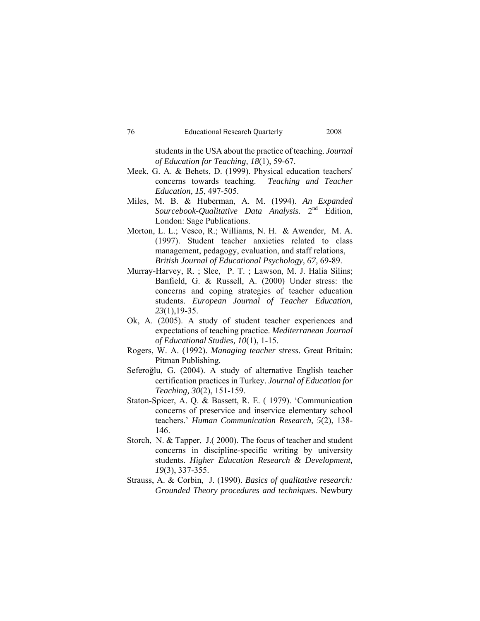#### 76 Educational Research Quarterly 2008

students in the USA about the practice of teaching. *Journal of Education for Teaching, 18*(1), 59-67.

- Meek, G. A. & Behets, D. (1999). Physical education teachers' concerns towards teaching. *Teaching and Teacher Education, 15*, 497-505.
- Miles, M. B. & Huberman, A. M. (1994). *An Expanded Sourcebook-Qualitative Data Analysis.* 2nd Edition, London: Sage Publications.
- Morton, L. L.; Vesco, R.; Williams, N. H. & Awender, M. A. (1997). Student teacher anxieties related to class management, pedagogy, evaluation, and staff relations, *British Journal of Educational Psychology, 67,* 69-89.
- Murray-Harvey, R. ; Slee, P. T. ; Lawson, M. J. Halia Silins; Banfield, G. & Russell, A. (2000) Under stress: the concerns and coping strategies of teacher education students. *European Journal of Teacher Education, 23*(1),19-35.
- Ok, A. (2005). A study of student teacher experiences and expectations of teaching practice. *Mediterranean Journal of Educational Studies, 10*(1), 1-15.
- Rogers, W. A. (1992). *Managing teacher stress*. Great Britain: Pitman Publishing.
- Seferoğlu, G. (2004). A study of alternative English teacher certification practices in Turkey. *Journal of Education for Teaching, 30*(2), 151-159.
- Staton-Spicer, A. Q. & Bassett, R. E. ( 1979). 'Communication concerns of preservice and inservice elementary school teachers.' *Human Communication Research, 5*(2), 138- 146.
- Storch, N. & Tapper, J.( 2000). The focus of teacher and student concerns in discipline-specific writing by university students. *Higher Education Research & Development, 19*(3), 337-355.
- Strauss, A. & Corbin, J. (1990). *Basics of qualitative research: Grounded Theory procedures and techniques.* Newbury